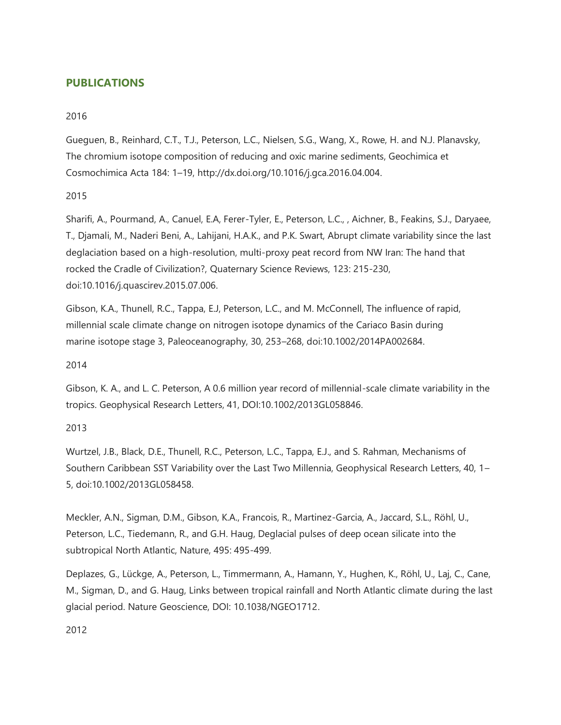# **PUBLICATIONS**

## 2016

Gueguen, B., Reinhard, C.T., T.J., Peterson, L.C., Nielsen, S.G., Wang, X., Rowe, H. and N.J. Planavsky, The chromium isotope composition of reducing and oxic marine sediments, Geochimica et Cosmochimica Acta 184: 1–19, http://dx.doi.org/10.1016/j.gca.2016.04.004.

## 2015

Sharifi, A., Pourmand, A., Canuel, E.A, Ferer-Tyler, E., Peterson, L.C., , Aichner, B., Feakins, S.J., Daryaee, T., Djamali, M., Naderi Beni, A., Lahijani, H.A.K., and P.K. Swart, Abrupt climate variability since the last deglaciation based on a high-resolution, multi-proxy peat record from NW Iran: The hand that rocked the Cradle of Civilization?, Quaternary Science Reviews, 123: 215-230, doi:10.1016/j.quascirev.2015.07.006.

Gibson, K.A., Thunell, R.C., Tappa, E.J, Peterson, L.C., and M. McConnell, The influence of rapid, millennial scale climate change on nitrogen isotope dynamics of the Cariaco Basin during marine isotope stage 3, Paleoceanography, 30, 253–268, doi:10.1002/2014PA002684.

2014

Gibson, K. A., and L. C. Peterson, A 0.6 million year record of millennial-scale climate variability in the tropics. Geophysical Research Letters, 41, DOI:10.1002/2013GL058846.

# 2013

Wurtzel, J.B., Black, D.E., Thunell, R.C., Peterson, L.C., Tappa, E.J., and S. Rahman, Mechanisms of Southern Caribbean SST Variability over the Last Two Millennia, Geophysical Research Letters, 40, 1– 5, doi:10.1002/2013GL058458.

Meckler, A.N., Sigman, D.M., Gibson, K.A., Francois, R., Martinez-Garcia, A., Jaccard, S.L., Röhl, U., Peterson, L.C., Tiedemann, R., and G.H. Haug, Deglacial pulses of deep ocean silicate into the subtropical North Atlantic, Nature, 495: 495-499.

Deplazes, G., Lückge, A., Peterson, L., Timmermann, A., Hamann, Y., Hughen, K., Röhl, U., Laj, C., Cane, M., Sigman, D., and G. Haug, Links between tropical rainfall and North Atlantic climate during the last glacial period. Nature Geoscience, DOI: 10.1038/NGEO1712.

2012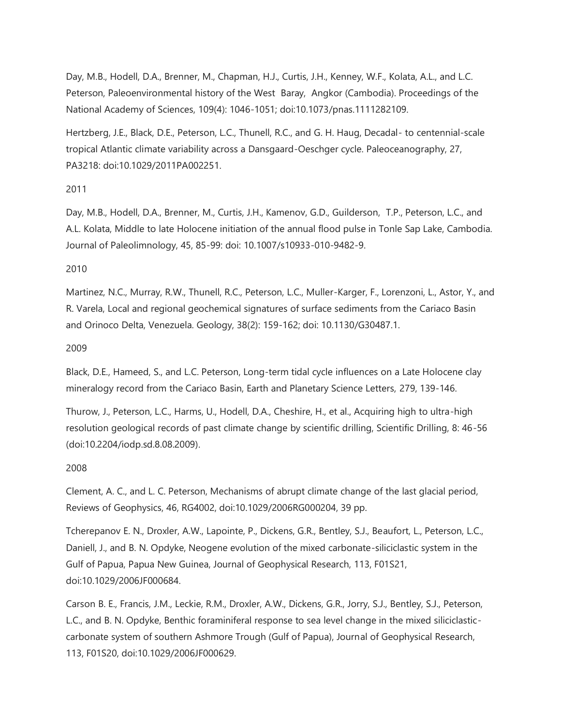Day, M.B., Hodell, D.A., Brenner, M., Chapman, H.J., Curtis, J.H., Kenney, W.F., Kolata, A.L., and L.C. Peterson, Paleoenvironmental history of the West Baray, Angkor (Cambodia). Proceedings of the National Academy of Sciences, 109(4): 1046-1051; doi:10.1073/pnas.1111282109.

Hertzberg, J.E., Black, D.E., Peterson, L.C., Thunell, R.C., and G. H. Haug, Decadal- to centennial-scale tropical Atlantic climate variability across a Dansgaard-Oeschger cycle. Paleoceanography, 27, PA3218: doi:10.1029/2011PA002251.

### 2011

Day, M.B., Hodell, D.A., Brenner, M., Curtis, J.H., Kamenov, G.D., Guilderson, T.P., Peterson, L.C., and A.L. Kolata, Middle to late Holocene initiation of the annual flood pulse in Tonle Sap Lake, Cambodia. Journal of Paleolimnology, 45, 85-99: doi: 10.1007/s10933-010-9482-9.

### 2010

Martinez, N.C., Murray, R.W., Thunell, R.C., Peterson, L.C., Muller-Karger, F., Lorenzoni, L., Astor, Y., and R. Varela, Local and regional geochemical signatures of surface sediments from the Cariaco Basin and Orinoco Delta, Venezuela. Geology, 38(2): 159-162; doi: 10.1130/G30487.1.

### 2009

Black, D.E., Hameed, S., and L.C. Peterson, Long-term tidal cycle influences on a Late Holocene clay mineralogy record from the Cariaco Basin, Earth and Planetary Science Letters, 279, 139-146.

Thurow, J., Peterson, L.C., Harms, U., Hodell, D.A., Cheshire, H., et al., Acquiring high to ultra-high resolution geological records of past climate change by scientific drilling, Scientific Drilling, 8: 46-56 (doi:10.2204/iodp.sd.8.08.2009).

## 2008

Clement, A. C., and L. C. Peterson, Mechanisms of abrupt climate change of the last glacial period, Reviews of Geophysics, 46, RG4002, doi:10.1029/2006RG000204, 39 pp.

Tcherepanov E. N., Droxler, A.W., Lapointe, P., Dickens, G.R., Bentley, S.J., Beaufort, L., Peterson, L.C., Daniell, J., and B. N. Opdyke, Neogene evolution of the mixed carbonate-siliciclastic system in the Gulf of Papua, Papua New Guinea, Journal of Geophysical Research, 113, F01S21, doi:10.1029/2006JF000684.

Carson B. E., Francis, J.M., Leckie, R.M., Droxler, A.W., Dickens, G.R., Jorry, S.J., Bentley, S.J., Peterson, L.C., and B. N. Opdyke, Benthic foraminiferal response to sea level change in the mixed siliciclasticcarbonate system of southern Ashmore Trough (Gulf of Papua), Journal of Geophysical Research, 113, F01S20, doi:10.1029/2006JF000629.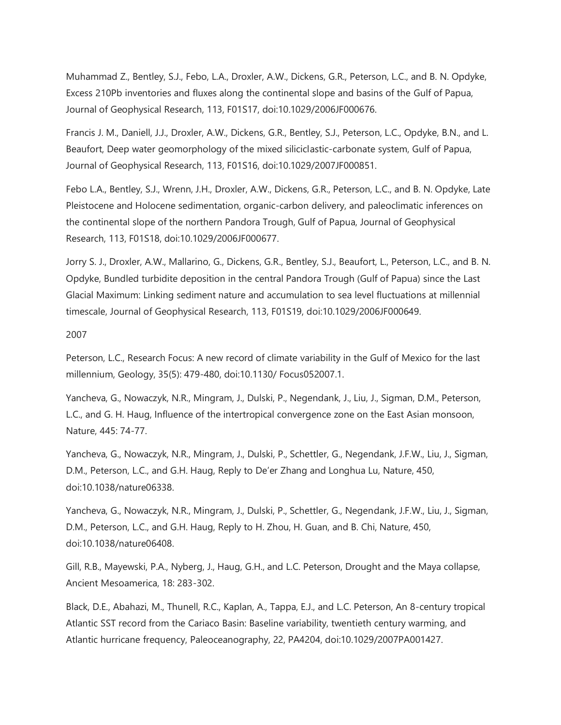Muhammad Z., Bentley, S.J., Febo, L.A., Droxler, A.W., Dickens, G.R., Peterson, L.C., and B. N. Opdyke, Excess 210Pb inventories and fluxes along the continental slope and basins of the Gulf of Papua, Journal of Geophysical Research, 113, F01S17, doi:10.1029/2006JF000676.

Francis J. M., Daniell, J.J., Droxler, A.W., Dickens, G.R., Bentley, S.J., Peterson, L.C., Opdyke, B.N., and L. Beaufort, Deep water geomorphology of the mixed siliciclastic-carbonate system, Gulf of Papua, Journal of Geophysical Research, 113, F01S16, doi:10.1029/2007JF000851.

Febo L.A., Bentley, S.J., Wrenn, J.H., Droxler, A.W., Dickens, G.R., Peterson, L.C., and B. N. Opdyke, Late Pleistocene and Holocene sedimentation, organic-carbon delivery, and paleoclimatic inferences on the continental slope of the northern Pandora Trough, Gulf of Papua, Journal of Geophysical Research, 113, F01S18, doi:10.1029/2006JF000677.

Jorry S. J., Droxler, A.W., Mallarino, G., Dickens, G.R., Bentley, S.J., Beaufort, L., Peterson, L.C., and B. N. Opdyke, Bundled turbidite deposition in the central Pandora Trough (Gulf of Papua) since the Last Glacial Maximum: Linking sediment nature and accumulation to sea level fluctuations at millennial timescale, Journal of Geophysical Research, 113, F01S19, doi:10.1029/2006JF000649.

2007

Peterson, L.C., Research Focus: A new record of climate variability in the Gulf of Mexico for the last millennium, Geology, 35(5): 479-480, doi:10.1130/ Focus052007.1.

Yancheva, G., Nowaczyk, N.R., Mingram, J., Dulski, P., Negendank, J., Liu, J., Sigman, D.M., Peterson, L.C., and G. H. Haug, Influence of the intertropical convergence zone on the East Asian monsoon, Nature, 445: 74-77.

Yancheva, G., Nowaczyk, N.R., Mingram, J., Dulski, P., Schettler, G., Negendank, J.F.W., Liu, J., Sigman, D.M., Peterson, L.C., and G.H. Haug, Reply to De'er Zhang and Longhua Lu, Nature, 450, doi:10.1038/nature06338.

Yancheva, G., Nowaczyk, N.R., Mingram, J., Dulski, P., Schettler, G., Negendank, J.F.W., Liu, J., Sigman, D.M., Peterson, L.C., and G.H. Haug, Reply to H. Zhou, H. Guan, and B. Chi, Nature, 450, doi:10.1038/nature06408.

Gill, R.B., Mayewski, P.A., Nyberg, J., Haug, G.H., and L.C. Peterson, Drought and the Maya collapse, Ancient Mesoamerica, 18: 283-302.

Black, D.E., Abahazi, M., Thunell, R.C., Kaplan, A., Tappa, E.J., and L.C. Peterson, An 8-century tropical Atlantic SST record from the Cariaco Basin: Baseline variability, twentieth century warming, and Atlantic hurricane frequency, Paleoceanography, 22, PA4204, doi:10.1029/2007PA001427.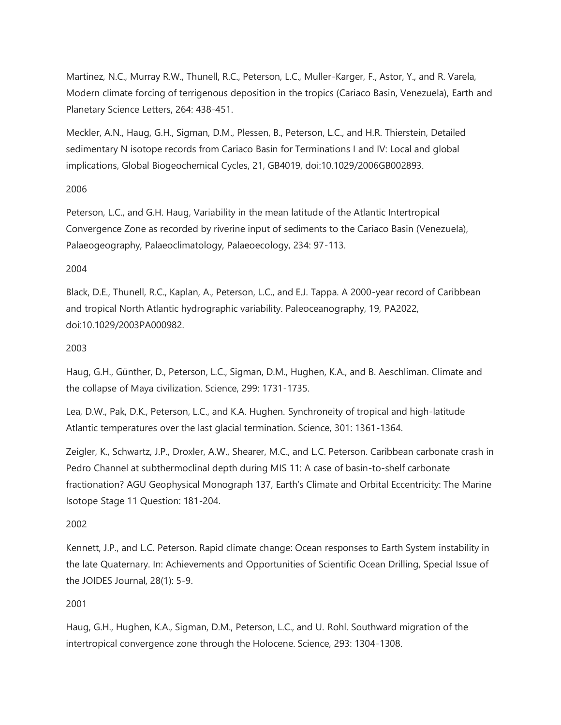Martinez, N.C., Murray R.W., Thunell, R.C., Peterson, L.C., Muller-Karger, F., Astor, Y., and R. Varela, Modern climate forcing of terrigenous deposition in the tropics (Cariaco Basin, Venezuela), Earth and Planetary Science Letters, 264: 438-451.

Meckler, A.N., Haug, G.H., Sigman, D.M., Plessen, B., Peterson, L.C., and H.R. Thierstein, Detailed sedimentary N isotope records from Cariaco Basin for Terminations I and IV: Local and global implications, Global Biogeochemical Cycles, 21, GB4019, doi:10.1029/2006GB002893.

### 2006

Peterson, L.C., and G.H. Haug, Variability in the mean latitude of the Atlantic Intertropical Convergence Zone as recorded by riverine input of sediments to the Cariaco Basin (Venezuela), Palaeogeography, Palaeoclimatology, Palaeoecology, 234: 97-113.

### 2004

Black, D.E., Thunell, R.C., Kaplan, A., Peterson, L.C., and E.J. Tappa. A 2000-year record of Caribbean and tropical North Atlantic hydrographic variability. Paleoceanography, 19, PA2022, doi:10.1029/2003PA000982.

## 2003

Haug, G.H., Günther, D., Peterson, L.C., Sigman, D.M., Hughen, K.A., and B. Aeschliman. Climate and the collapse of Maya civilization. Science, 299: 1731-1735.

Lea, D.W., Pak, D.K., Peterson, L.C., and K.A. Hughen. Synchroneity of tropical and high-latitude Atlantic temperatures over the last glacial termination. Science, 301: 1361-1364.

Zeigler, K., Schwartz, J.P., Droxler, A.W., Shearer, M.C., and L.C. Peterson. Caribbean carbonate crash in Pedro Channel at subthermoclinal depth during MIS 11: A case of basin-to-shelf carbonate fractionation? AGU Geophysical Monograph 137, Earth's Climate and Orbital Eccentricity: The Marine Isotope Stage 11 Question: 181-204.

## 2002

Kennett, J.P., and L.C. Peterson. Rapid climate change: Ocean responses to Earth System instability in the late Quaternary. In: Achievements and Opportunities of Scientific Ocean Drilling, Special Issue of the JOIDES Journal, 28(1): 5-9.

## 2001

Haug, G.H., Hughen, K.A., Sigman, D.M., Peterson, L.C., and U. Rohl. Southward migration of the intertropical convergence zone through the Holocene. Science, 293: 1304-1308.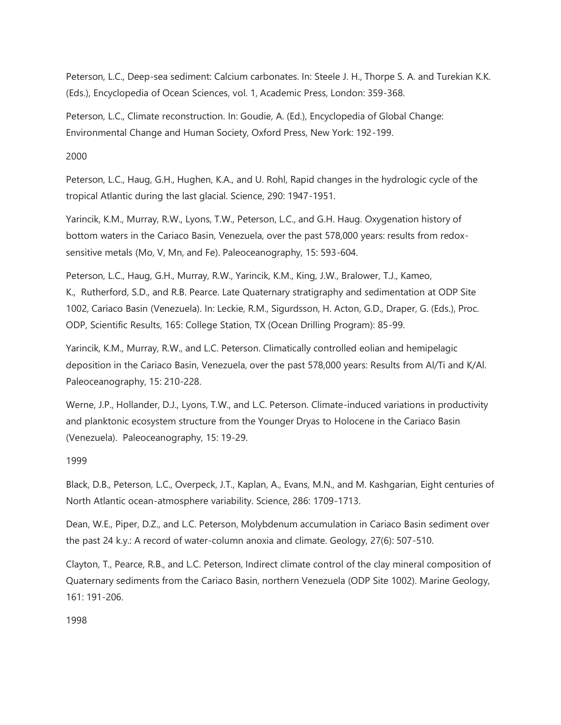Peterson, L.C., Deep-sea sediment: Calcium carbonates. In: Steele J. H., Thorpe S. A. and Turekian K.K. (Eds.), Encyclopedia of Ocean Sciences, vol. 1, Academic Press, London: 359-368.

Peterson, L.C., Climate reconstruction. In: Goudie, A. (Ed.), Encyclopedia of Global Change: Environmental Change and Human Society, Oxford Press, New York: 192-199.

2000

Peterson, L.C., Haug, G.H., Hughen, K.A., and U. Rohl, Rapid changes in the hydrologic cycle of the tropical Atlantic during the last glacial. Science, 290: 1947-1951.

Yarincik, K.M., Murray, R.W., Lyons, T.W., Peterson, L.C., and G.H. Haug. Oxygenation history of bottom waters in the Cariaco Basin, Venezuela, over the past 578,000 years: results from redoxsensitive metals (Mo, V, Mn, and Fe). Paleoceanography, 15: 593-604.

Peterson, L.C., Haug, G.H., Murray, R.W., Yarincik, K.M., King, J.W., Bralower, T.J., Kameo, K., Rutherford, S.D., and R.B. Pearce. Late Quaternary stratigraphy and sedimentation at ODP Site 1002, Cariaco Basin (Venezuela). In: Leckie, R.M., Sigurdsson, H. Acton, G.D., Draper, G. (Eds.), Proc. ODP, Scientific Results, 165: College Station, TX (Ocean Drilling Program): 85-99.

Yarincik, K.M., Murray, R.W., and L.C. Peterson. Climatically controlled eolian and hemipelagic deposition in the Cariaco Basin, Venezuela, over the past 578,000 years: Results from Al/Ti and K/Al. Paleoceanography, 15: 210-228.

Werne, J.P., Hollander, D.J., Lyons, T.W., and L.C. Peterson. Climate-induced variations in productivity and planktonic ecosystem structure from the Younger Dryas to Holocene in the Cariaco Basin (Venezuela). Paleoceanography, 15: 19-29.

1999

Black, D.B., Peterson, L.C., Overpeck, J.T., Kaplan, A., Evans, M.N., and M. Kashgarian, Eight centuries of North Atlantic ocean-atmosphere variability. Science, 286: 1709-1713.

Dean, W.E., Piper, D.Z., and L.C. Peterson, Molybdenum accumulation in Cariaco Basin sediment over the past 24 k.y.: A record of water-column anoxia and climate. Geology, 27(6): 507-510.

Clayton, T., Pearce, R.B., and L.C. Peterson, Indirect climate control of the clay mineral composition of Quaternary sediments from the Cariaco Basin, northern Venezuela (ODP Site 1002). Marine Geology, 161: 191-206.

1998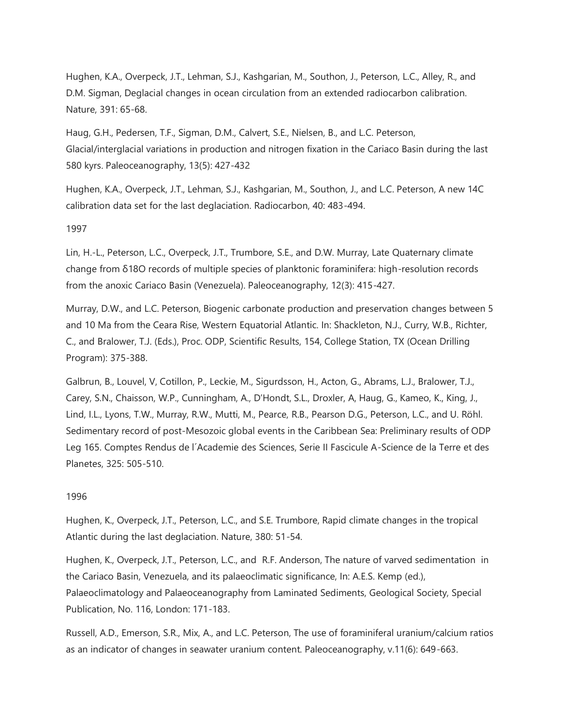Hughen, K.A., Overpeck, J.T., Lehman, S.J., Kashgarian, M., Southon, J., Peterson, L.C., Alley, R., and D.M. Sigman, Deglacial changes in ocean circulation from an extended radiocarbon calibration. Nature, 391: 65-68.

Haug, G.H., Pedersen, T.F., Sigman, D.M., Calvert, S.E., Nielsen, B., and L.C. Peterson, Glacial/interglacial variations in production and nitrogen fixation in the Cariaco Basin during the last 580 kyrs. Paleoceanography, 13(5): 427-432

Hughen, K.A., Overpeck, J.T., Lehman, S.J., Kashgarian, M., Southon, J., and L.C. Peterson, A new 14C calibration data set for the last deglaciation. Radiocarbon, 40: 483-494.

1997

Lin, H.-L., Peterson, L.C., Overpeck, J.T., Trumbore, S.E., and D.W. Murray, Late Quaternary climate change from δ18O records of multiple species of planktonic foraminifera: high-resolution records from the anoxic Cariaco Basin (Venezuela). Paleoceanography, 12(3): 415-427.

Murray, D.W., and L.C. Peterson, Biogenic carbonate production and preservation changes between 5 and 10 Ma from the Ceara Rise, Western Equatorial Atlantic. In: Shackleton, N.J., Curry, W.B., Richter, C., and Bralower, T.J. (Eds.), Proc. ODP, Scientific Results, 154, College Station, TX (Ocean Drilling Program): 375-388.

Galbrun, B., Louvel, V, Cotillon, P., Leckie, M., Sigurdsson, H., Acton, G., Abrams, L.J., Bralower, T.J., Carey, S.N., Chaisson, W.P., Cunningham, A., D'Hondt, S.L., Droxler, A, Haug, G., Kameo, K., King, J., Lind, I.L., Lyons, T.W., Murray, R.W., Mutti, M., Pearce, R.B., Pearson D.G., Peterson, L.C., and U. Röhl. Sedimentary record of post-Mesozoic global events in the Caribbean Sea: Preliminary results of ODP Leg 165. Comptes Rendus de l´Academie des Sciences, Serie II Fascicule A-Science de la Terre et des Planetes, 325: 505-510.

## 1996

Hughen, K., Overpeck, J.T., Peterson, L.C., and S.E. Trumbore, Rapid climate changes in the tropical Atlantic during the last deglaciation. Nature, 380: 51-54.

Hughen, K., Overpeck, J.T., Peterson, L.C., and R.F. Anderson, The nature of varved sedimentation in the Cariaco Basin, Venezuela, and its palaeoclimatic significance, In: A.E.S. Kemp (ed.), Palaeoclimatology and Palaeoceanography from Laminated Sediments, Geological Society, Special Publication, No. 116, London: 171-183.

Russell, A.D., Emerson, S.R., Mix, A., and L.C. Peterson, The use of foraminiferal uranium/calcium ratios as an indicator of changes in seawater uranium content. Paleoceanography, v.11(6): 649-663.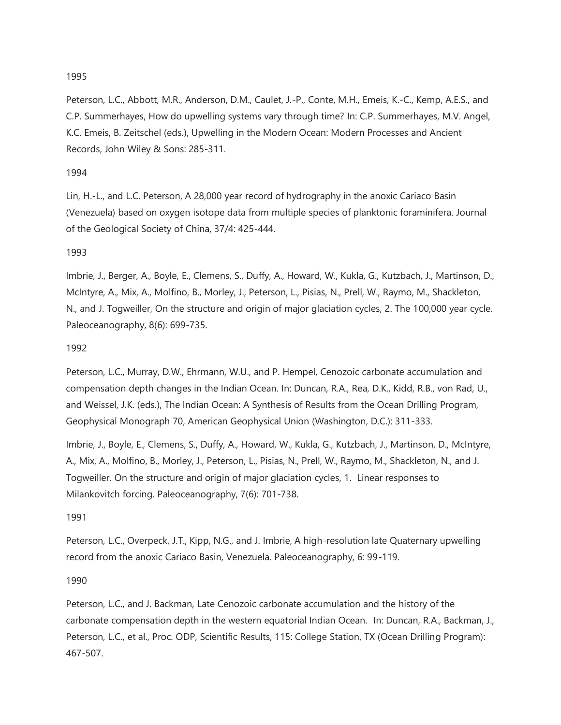## 1995

Peterson, L.C., Abbott, M.R., Anderson, D.M., Caulet, J.-P., Conte, M.H., Emeis, K.-C., Kemp, A.E.S., and C.P. Summerhayes, How do upwelling systems vary through time? In: C.P. Summerhayes, M.V. Angel, K.C. Emeis, B. Zeitschel (eds.), Upwelling in the Modern Ocean: Modern Processes and Ancient Records, John Wiley & Sons: 285-311.

#### 1994

Lin, H.-L., and L.C. Peterson, A 28,000 year record of hydrography in the anoxic Cariaco Basin (Venezuela) based on oxygen isotope data from multiple species of planktonic foraminifera. Journal of the Geological Society of China, 37/4: 425-444.

### 1993

Imbrie, J., Berger, A., Boyle, E., Clemens, S., Duffy, A., Howard, W., Kukla, G., Kutzbach, J., Martinson, D., McIntyre, A., Mix, A., Molfino, B., Morley, J., Peterson, L., Pisias, N., Prell, W., Raymo, M., Shackleton, N., and J. Togweiller, On the structure and origin of major glaciation cycles, 2. The 100,000 year cycle. Paleoceanography, 8(6): 699-735.

### 1992

Peterson, L.C., Murray, D.W., Ehrmann, W.U., and P. Hempel, Cenozoic carbonate accumulation and compensation depth changes in the Indian Ocean. In: Duncan, R.A., Rea, D.K., Kidd, R.B., von Rad, U., and Weissel, J.K. (eds.), The Indian Ocean: A Synthesis of Results from the Ocean Drilling Program, Geophysical Monograph 70, American Geophysical Union (Washington, D.C.): 311-333.

Imbrie, J., Boyle, E., Clemens, S., Duffy, A., Howard, W., Kukla, G., Kutzbach, J., Martinson, D., McIntyre, A., Mix, A., Molfino, B., Morley, J., Peterson, L., Pisias, N., Prell, W., Raymo, M., Shackleton, N., and J. Togweiller. On the structure and origin of major glaciation cycles, 1. Linear responses to Milankovitch forcing. Paleoceanography, 7(6): 701-738.

#### 1991

Peterson, L.C., Overpeck, J.T., Kipp, N.G., and J. Imbrie, A high-resolution late Quaternary upwelling record from the anoxic Cariaco Basin, Venezuela. Paleoceanography, 6: 99-119.

1990

Peterson, L.C., and J. Backman, Late Cenozoic carbonate accumulation and the history of the carbonate compensation depth in the western equatorial Indian Ocean. In: Duncan, R.A., Backman, J., Peterson, L.C., et al., Proc. ODP, Scientific Results, 115: College Station, TX (Ocean Drilling Program): 467-507.